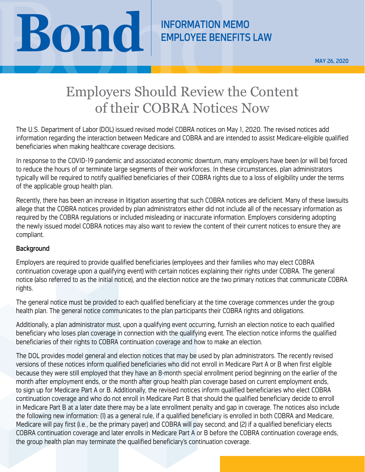**BOND REMPLOYEE BENEFITS** 

EMPLOYEE BENEFITS LAW

MAY 26, 2020

## Employers Should Review the Content of their COBRA Notices Now

The U.S. Department of Labor (DOL) issued revised model COBRA notices on May 1, 2020. The revised notices add information regarding the interaction between Medicare and COBRA and are intended to assist Medicare-eligible qualified beneficiaries when making healthcare coverage decisions.

In response to the COVID-19 pandemic and associated economic downturn, many employers have been (or will be) forced to reduce the hours of or terminate large segments of their workforces. In these circumstances, plan administrators typically will be required to notify qualified beneficiaries of their COBRA rights due to a loss of eligibility under the terms of the applicable group health plan.

Recently, there has been an increase in litigation asserting that such COBRA notices are deficient. Many of these lawsuits allege that the COBRA notices provided by plan administrators either did not include all of the necessary information as required by the COBRA regulations or included misleading or inaccurate information. Employers considering adopting the newly issued model COBRA notices may also want to review the content of their current notices to ensure they are compliant.

## **Background**

Employers are required to provide qualified beneficiaries (employees and their families who may elect COBRA continuation coverage upon a qualifying event) with certain notices explaining their rights under COBRA. The general notice (also referred to as the initial notice), and the election notice are the two primary notices that communicate COBRA rights.

The general notice must be provided to each qualified beneficiary at the time coverage commences under the group health plan. The general notice communicates to the plan participants their COBRA rights and obligations.

Additionally, a plan administrator must, upon a qualifying event occurring, furnish an election notice to each qualified beneficiary who loses plan coverage in connection with the qualifying event. The election notice informs the qualified beneficiaries of their rights to COBRA continuation coverage and how to make an election.

The DOL provides model general and election notices that may be used by plan administrators. The recently revised versions of these notices inform qualified beneficiaries who did not enroll in Medicare Part A or B when first eligible because they were still employed that they have an 8-month special enrollment period beginning on the earlier of the month after employment ends, or the month after group health plan coverage based on current employment ends, to sign up for Medicare Part A or B. Additionally, the revised notices inform qualified beneficiaries who elect COBRA continuation coverage and who do not enroll in Medicare Part B that should the qualified beneficiary decide to enroll in Medicare Part B at a later date there may be a late enrollment penalty and gap in coverage. The notices also include the following new information: (1) as a general rule, if a qualified beneficiary is enrolled in both COBRA and Medicare, Medicare will pay first (i.e., be the primary payer) and COBRA will pay second; and (2) if a qualified beneficiary elects COBRA continuation coverage and later enrolls in Medicare Part A or B before the COBRA continuation coverage ends, the group health plan may terminate the qualified beneficiary's continuation coverage.